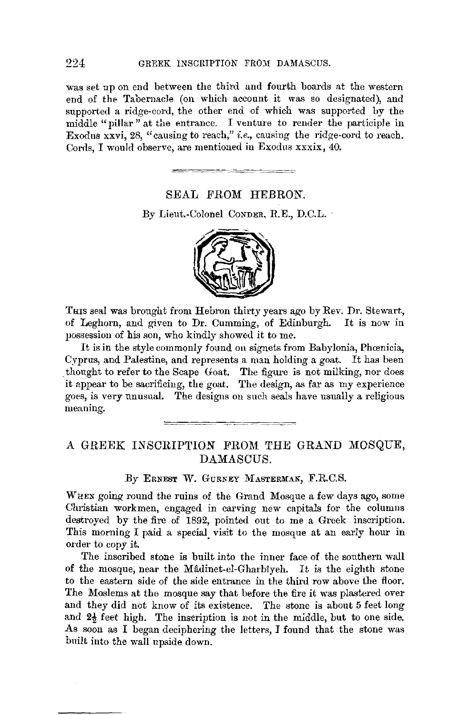## 224 GREEK INSCRIPTION FROM DAMASCUS.

was set up on end between the third and fourth boards at the western end of the Tabernacle (on which account it was so designated), and supported a ridge-cord, the other end of which was supported by the middle "pillar" at the entrance. I venture to render the participle in Exodus xxvi, 28, "causing to reach," *i.e.,* causing the ridge-cord to reach. Cords, I would observe, are mentioned in Exodus xxxix, 40.

#### SEAL FROM HEBRON.

By Lieut.-Colonel CONDER, R.E., D.C.L.



THIS seal was brought from Hebron thirty years ago by Rev. Dr. Stewart, of Leghorn, and given to Dr. Cumming, of Edinburgh. It is now in possession of his son, who kindly showed it to me.

It is in the style commonly found on signets from Babylonia, Phamicia, Cyprus, and Palestine, and represents a man holding a goat. It has been thought to refer to the Scape Goat. The figure is not milking, nor does it appear to be sacrificing, the goat. The design, as far as my experience goes, is very unusual. The designs on such seals have usually a religious meaning.

# A GREEK INSCRIPTION FROM THE GRAND MOSQUE, DAMASCUS.

#### By ERNEST W. GURNEY MASTERMAN, F.R.C.S.

WHEN going round the ruins of the Grand Mosque a few days ago, some Christian workmen, engaged in carving new capitals for the columns destroyed by the fire of 1892, pointed out to me a Greek inscription. This morning I paid a special visit to the mosque at an early hour in order to copy it.

The inscribed stone is built into the inner face of the southern wall of the mosque, near the Mâdinet-el-Gharbiyeh. It is the eighth stone to the eastern side of the side entrance in the third row above the floor. The Moslems at the mosque say that before the fire it was plastered over and they did not know of its existence. The stone is about 5 feet long and  $2\frac{1}{2}$  feet high. The inscription is not in the middle, but to one side. As soon as I began deciphering the letters, I found that the stone was built into the wall upside down.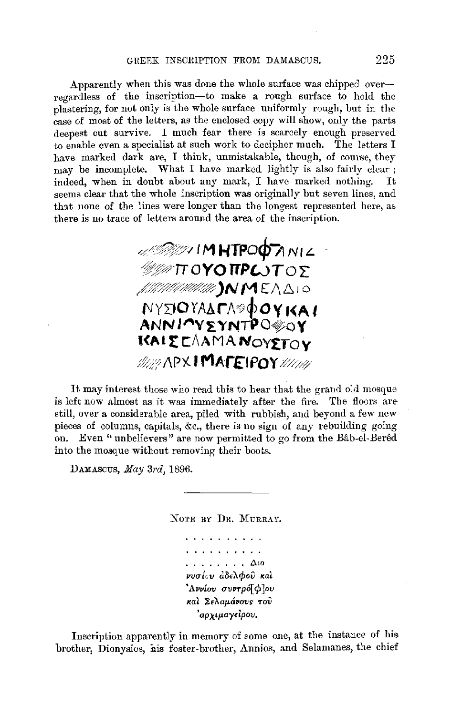## GREEK INSCRIPTION FROM DAMASCUS. 225

Apparently when this was done the whole surface was chipped overregardless of the inscription-to make a rough surface to hold the plastering, for not only is the whole surface uniformly rough, but in the case of most of the letters, as the enclosed copy will show, only the parts deepest cut survive. I much fear there is scarcely enough preserved to enable even a specialist at such work to decipher much. The letters I have marked dark are, I think, unmistakable, though, of course, they may be incomplete. What I have marked lightly is also fairly clear ; indeed, when in doubt about any mark, I have marked nothing. It seems clear that the whole inscription was originally but seven lines, and that none of the lines were longer than the longest represented here, as there is no trace of letters around the area of the inscription.

,,"'/:·,,,,/~ I **M uTPoA.-/1** «:"'"-x'i?fY-1 **r, 'f' NI** *L* - **10YOTTPWTO2 /,:f/'\$~:%)N ME/\/::::,** I 0 **N YDO** *YAh. rJVp'4)* **O y l(A t ANN l"'V~YNTPO~oY KAI E CAAMA NOYETOV** :/:/1:: /\PX. I **MAr£'1f'OY** *M//'Y'* 

It may interest those wno read this to hear that the grand oid mosque is left now almost as it was immediately after the fire. The floors are still, over a considerable area, piled with rubbish, and beyond a few new pieces of columns, capitals, &c., there is no sign of any rebuilding going on. Even "unbelievers" are now permitted to go from the Bab-el-Bered into the mosque without removing their boots.

DAMAScus, *May 3rd,* 1896.

NOTE BY DR. MURRAY.

. . *. . . . . .* . . . . . . . . . . . . . . . . . . . . Am  $\boldsymbol{\nu}$ νσίευ άδελφού και • *Avvlov o-11vTp6[ cf,* Jou **1eal** *IEAaµ.Uvavs- ,-oV 'apxiµ.ay,lpov.* 

Inscription apparently in memory of some one, at the instance of his brother, Dionysios, his foster-brother, Annios, and Selamanes, the chief